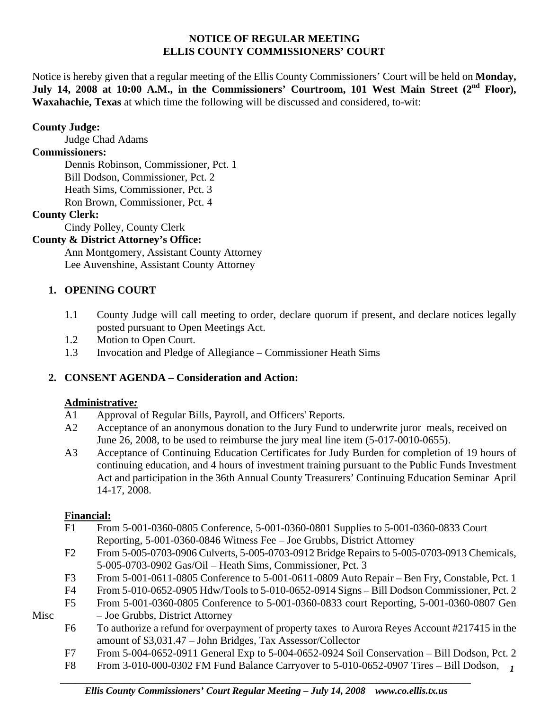#### **NOTICE OF REGULAR MEETING ELLIS COUNTY COMMISSIONERS' COURT**

Notice is hereby given that a regular meeting of the Ellis County Commissioners' Court will be held on **Monday,**  July 14, 2008 at 10:00 A.M., in the Commissioners' Courtroom, 101 West Main Street (2<sup>nd</sup> Floor), **Waxahachie, Texas** at which time the following will be discussed and considered, to-wit:

#### **County Judge:**

Judge Chad Adams

# **Commissioners:**

 Dennis Robinson, Commissioner, Pct. 1 Bill Dodson, Commissioner, Pct. 2 Heath Sims, Commissioner, Pct. 3 Ron Brown, Commissioner, Pct. 4

# **County Clerk:**

Cindy Polley, County Clerk

# **County & District Attorney's Office:**

 Ann Montgomery, Assistant County Attorney Lee Auvenshine, Assistant County Attorney

# **1. OPENING COURT**

- 1.1 County Judge will call meeting to order, declare quorum if present, and declare notices legally posted pursuant to Open Meetings Act.
- 1.2 Motion to Open Court.
- 1.3 Invocation and Pledge of Allegiance Commissioner Heath Sims

# **2. CONSENT AGENDA – Consideration and Action:**

# **Administrative***:*

- A1 Approval of Regular Bills, Payroll, and Officers' Reports.
- A2 Acceptance of an anonymous donation to the Jury Fund to underwrite juror meals, received on June 26, 2008, to be used to reimburse the jury meal line item (5-017-0010-0655).
- A3 Acceptance of Continuing Education Certificates for Judy Burden for completion of 19 hours of continuing education, and 4 hours of investment training pursuant to the Public Funds Investment Act and participation in the 36th Annual County Treasurers' Continuing Education Seminar April 14-17, 2008.

# **Financial:**

- F1 From 5-001-0360-0805 Conference, 5-001-0360-0801 Supplies to 5-001-0360-0833 Court Reporting, 5-001-0360-0846 Witness Fee – Joe Grubbs, District Attorney
- F2 From 5-005-0703-0906 Culverts, 5-005-0703-0912 Bridge Repairs to 5-005-0703-0913 Chemicals, 5-005-0703-0902 Gas/Oil – Heath Sims, Commissioner, Pct. 3
- F3 From 5-001-0611-0805 Conference to 5-001-0611-0809 Auto Repair Ben Fry, Constable, Pct. 1
- F4 From 5-010-0652-0905 Hdw/Tools to 5-010-0652-0914 Signs Bill Dodson Commissioner, Pct. 2
- F5 From 5-001-0360-0805 Conference to 5-001-0360-0833 court Reporting, 5-001-0360-0807 Gen Misc – Joe Grubbs, District Attorney
- 
- F6 To authorize a refund for overpayment of property taxes to Aurora Reyes Account #217415 in the amount of \$3,031.47 – John Bridges, Tax Assessor/Collector
- F7 From 5-004-0652-0911 General Exp to 5-004-0652-0924 Soil Conservation Bill Dodson, Pct. 2
- *1* F8 From 3-010-000-0302 FM Fund Balance Carryover to 5-010-0652-0907 Tires Bill Dodson,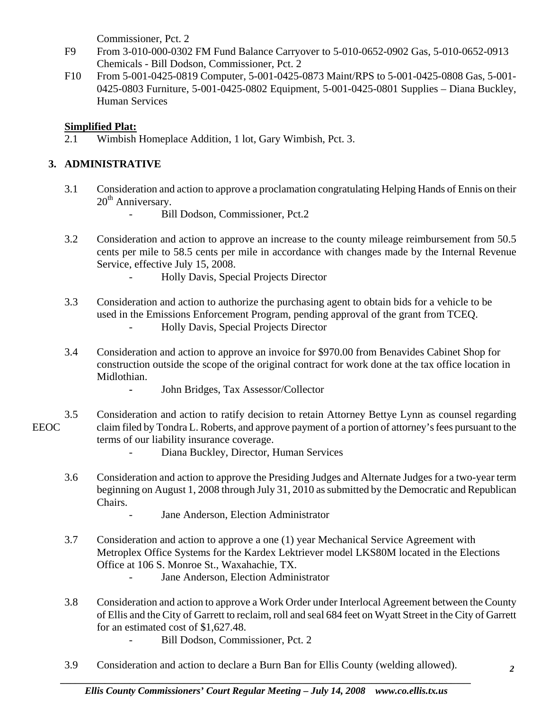Commissioner, Pct. 2

- F9 From 3-010-000-0302 FM Fund Balance Carryover to 5-010-0652-0902 Gas, 5-010-0652-0913 Chemicals - Bill Dodson, Commissioner, Pct. 2
- F10 From 5-001-0425-0819 Computer, 5-001-0425-0873 Maint/RPS to 5-001-0425-0808 Gas, 5-001- 0425-0803 Furniture, 5-001-0425-0802 Equipment, 5-001-0425-0801 Supplies – Diana Buckley, Human Services

#### **Simplified Plat:**

2.1 Wimbish Homeplace Addition, 1 lot, Gary Wimbish, Pct. 3.

# **3. ADMINISTRATIVE**

- 3.1 Consideration and action to approve a proclamation congratulating Helping Hands of Ennis on their  $20<sup>th</sup>$  Anniversary.
	- Bill Dodson, Commissioner, Pct.2
- 3.2 Consideration and action to approve an increase to the county mileage reimbursement from 50.5 cents per mile to 58.5 cents per mile in accordance with changes made by the Internal Revenue Service, effective July 15, 2008.
	- Holly Davis, Special Projects Director
- 3.3 Consideration and action to authorize the purchasing agent to obtain bids for a vehicle to be used in the Emissions Enforcement Program, pending approval of the grant from TCEQ.
	- Holly Davis, Special Projects Director
- 3.4 Consideration and action to approve an invoice for \$970.00 from Benavides Cabinet Shop for construction outside the scope of the original contract for work done at the tax office location in Midlothian.
	- John Bridges, Tax Assessor/Collector
- 3.5 Consideration and action to ratify decision to retain Attorney Bettye Lynn as counsel regarding EEOC claim filed by Tondra L. Roberts, and approve payment of a portion of attorney's fees pursuant to the terms of our liability insurance coverage.
	- Diana Buckley, Director, Human Services
	- 3.6 Consideration and action to approve the Presiding Judges and Alternate Judges for a two-year term beginning on August 1, 2008 through July 31, 2010 as submitted by the Democratic and Republican Chairs.
		- Jane Anderson, Election Administrator
	- 3.7 Consideration and action to approve a one (1) year Mechanical Service Agreement with Metroplex Office Systems for the Kardex Lektriever model LKS80M located in the Elections Office at 106 S. Monroe St., Waxahachie, TX.
		- Jane Anderson, Election Administrator
	- 3.8 Consideration and action to approve a Work Order under Interlocal Agreement between the County of Ellis and the City of Garrett to reclaim, roll and seal 684 feet on Wyatt Street in the City of Garrett for an estimated cost of \$1,627.48.
		- Bill Dodson, Commissioner, Pct. 2
	- 3.9 Consideration and action to declare a Burn Ban for Ellis County (welding allowed).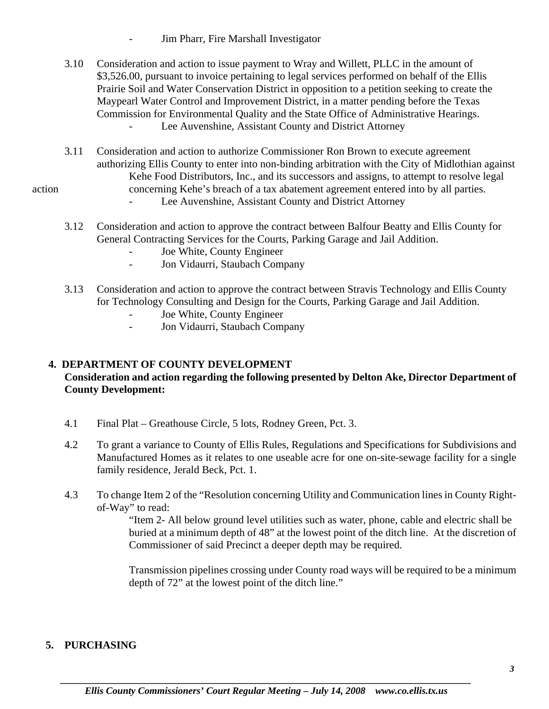- Jim Pharr, Fire Marshall Investigator
- 3.10 Consideration and action to issue payment to Wray and Willett, PLLC in the amount of \$3,526.00, pursuant to invoice pertaining to legal services performed on behalf of the Ellis Prairie Soil and Water Conservation District in opposition to a petition seeking to create the Maypearl Water Control and Improvement District, in a matter pending before the Texas Commission for Environmental Quality and the State Office of Administrative Hearings. Lee Auvenshine, Assistant County and District Attorney
- 3.11 Consideration and action to authorize Commissioner Ron Brown to execute agreement authorizing Ellis County to enter into non-binding arbitration with the City of Midlothian against Kehe Food Distributors, Inc., and its successors and assigns, to attempt to resolve legal action concerning Kehe's breach of a tax abatement agreement entered into by all parties.

- Lee Auvenshine, Assistant County and District Attorney
- 3.12 Consideration and action to approve the contract between Balfour Beatty and Ellis County for General Contracting Services for the Courts, Parking Garage and Jail Addition.
	- Joe White, County Engineer
	- Jon Vidaurri, Staubach Company
- 3.13 Consideration and action to approve the contract between Stravis Technology and Ellis County for Technology Consulting and Design for the Courts, Parking Garage and Jail Addition.
	- Joe White, County Engineer
	- Jon Vidaurri, Staubach Company

# **4. DEPARTMENT OF COUNTY DEVELOPMENT**

# **Consideration and action regarding the following presented by Delton Ake, Director Department of County Development:**

- 4.1 Final Plat Greathouse Circle, 5 lots, Rodney Green, Pct. 3.
- 4.2 To grant a variance to County of Ellis Rules, Regulations and Specifications for Subdivisions and Manufactured Homes as it relates to one useable acre for one on-site-sewage facility for a single family residence, Jerald Beck, Pct. 1.
- 4.3 To change Item 2 of the "Resolution concerning Utility and Communication lines in County Right of-Way" to read:

 "Item 2- All below ground level utilities such as water, phone, cable and electric shall be buried at a minimum depth of 48" at the lowest point of the ditch line. At the discretion of Commissioner of said Precinct a deeper depth may be required.

 Transmission pipelines crossing under County road ways will be required to be a minimum depth of 72" at the lowest point of the ditch line."

#### **5. PURCHASING**